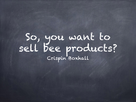# So, you want to sell bee products? Crispin Boxhall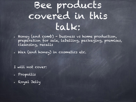# Bee products covered in this talk:

- Honey (and comb) business vs home production, preparation for sale, labelling, packaging, premises, cleansing, recalls
- Wax (and honey) in cosmetics etc.

I will not cover:

- Propollis
- Royal Jelly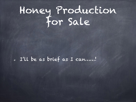# Honey Production for Sale

I'll be as brief as I can……!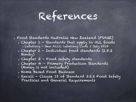References

Food Standards Australia New Zealand (FSANZ)

- Chapter 1 Standards that apply to ALL foods
	- Labelling New ACCC labelling Code 1 July 2018
- Chapter 2 Individual food standards (2.8.2 Honey)
- Chapter 3 Food safety standards
- Chapter 4 Primary Production Standards (Honey is not included)
- Home Based Food Business
- Recall Clause 12 of Standard 3.2.2 Food Safety Practices and General Requirements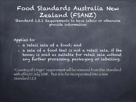#### Food Standards Australia New Zealand (FSANZ)

Standard 1.2.1 Requirements to have labels or otherwise provide information

Applies to:

- a retail sale of a food; and
- a sale of a food that is not a retail sale, if the honey is sold as suitable for retail sale without any further processing, packaging or labelling.

"Country of Origin" requirement will be removed from this Standard with effect 1 July 2018. But is to be incorporated into a new Standard 1.2.11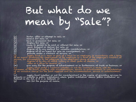# But what do we mean by "Sale"?

- (a) barter, offer or attempt to sell; or
- (b) receive for sale; or
- (c) have in possession for sale; or
- (d) display for sale; or
- (e) cause or permit to be sold or offered for sale; or
- (f) send, forward or deliver for sale; or
- (g) dispose of by any method for valuable consideration; or
- (h) dispose of to an agent for sale on consignment; or
- (i) provide under a contract of service; or

(j) supply food as a meal or part of a meal to an employee, in accordance with a term<br>of an award governing the employment of the employee or a term of the employee's contract of service, for consumption by the employee at the employee's place of work;

- (k) dispose of by way of raffle, lottery or other game of chance; or
- (l) offer as a prize or reward; or
- (m) give away for the purpose of advertisement or in furtherance of trade or business; or

(n) supply food under a contract (whether or not the contract is made with the consumer of the food), together with accommodation, service or entertainment, in consideration of an inclusive charge for the food supplied and the accommodation, service or entertainment; or

(o) supply food (whether or not for consideration) in the course of providing services to<br>patients or inmates in public institutions, where 'public institution' means 'public institution' as defined in the Act, if it is so defined; or

(p) sell for the purpose of resale.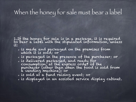#### When the honey for sale must bear a label

1.If the honey for sale is in a package, it is required<br>to bear a label with the stipulated information, unless it:

- is made and packaged on the premises from which it is sold; or
- is packaged in the presence of the purchaser; or
- is delivered packaged, and ready for consumption, at the express order of the purchaser (other than when the food is sold from a vending machine); or
- is sold at a fund raising event; or
- is displayed in an assisted service display cabinet.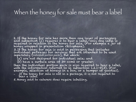#### When the honey for sale must bear a label

2. If the honey for sale has more than one layer of packaging<br>and subsection (1) requires it to bear a label, only one label is<br>required in relation to the honey for sale. (For example a jar of honey wrapped in presentation cellophane).

3. If the honey for sale is sold in packaging that includes<br>individual packages for servings that are intended to be used separately (*individual portion packs*), but which:

(a) are not designed for individual sale; and

(b) have a surface area of 30 ccm2 or greater;

then the individual portion pack is also required to bear a label,<br>with the information referred to in subsection 1.2.1–8(3). (For<br>example, selection of honeys in a box, or a hamper of goodies).

4. If the honey for sale is not in a package, it is not required to bear a label.

5. Honey sold to caterers does require labelling.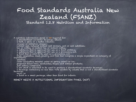## Food Standards Australia New Zealand (FSANZ)

A nutrition information panel is **not** required for:

a standardised alcoholic beverage; (Mead)

a herb, a spice or a herbal infusion;

vinegar or imitation vinegar;

iodised salt, reduced sodium salt mixture, salt or salt substitute;

tea or coffee, or instant tea or instant coffee;

a substance that is approved for use as a food additive;

a substance that is approved for use as a processing aid;

a food that is sold to be used as a processing aid;

fruit, vegetables, meat, poultry, and fish that comprise a single ingredient or category of ingredients;

gelatine;

water (including mineral water or spring water) or ice;

prepared filled rolls, sandwiches, bagels and similar products;

jam setting compound;

a kit which is intended to be used to produce a standardised alcoholic beverage;

a beverage containing no less than 0.5% alcohol by volume that is not a standardised alcoholic beverage;

kava; or

a food in a small package, other than food for infants.

#### HONEY NEEDS A NUTRITIONAL INFORMATION PANEL (NIP)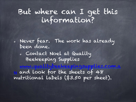#### But where can I get this information?

Never fear. The work has already been done.

Contact Noel at Quality Beekeeping Supplies

and look for the sheets of 48 nutritional labels (\$3.50 per sheet).

www.qualitybeekeepingsupplies.com.a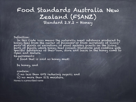#### Food Standards Australia New Zealand (FSANZ) Standard 2.8.2 - Honey

Definition:

In this Code *honey* means the naturally sweet substance produced by honey bees from the nectar of blossoms or from secretions of living parts of plants or excretions of plant sucking insects on the living parts of plants, which honey bees collect, transform and combine with specific substances of their own, store and leave in the honey comb to ripen and mature.

Requirements:

A food that is sold as honey must:

be honey, and

#### contain:

i) no less than 60% reducing sugars; and

ii) no more than 21% moisture.

Honey is a prescribed name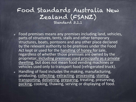#### Food Standards Australia New Zealand (FSANZ) Standard 3.1.1

- Food premises means any premises including land, vehicles,  $\bullet$ parts of structures, tents, stalls and other temporary structures, boats, pontoons and any other place declared by the relevant authority to be premises under the Food Act kept or used for the handling of honey for sale, regardless of whether those premises are owned by the proprietor, including premises used principally as a private dwelling, but does not mean food vending machines or vehicles used only to transport food (refrigerated truck).
- Handling of food includes the making, manufacturing,  $\bullet$ producing, collecting, extracting, processing, storing, transporting, delivering, preparing, treating, preserving, packing, cooking, thawing, serving or displaying of food.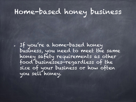## Home-based honey business

If you're a home-based honey business, you need to meet the same honey safety requirements as other food businesses—regardless of the size of your business or how often you sell honey.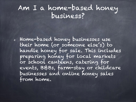#### Am I a home-based honey business?

Home-based honey businesses use their home (or someone else's) to handle honey for sale. This includes preparing honey for local markets or school canteens, catering for events, B&Bs, farm-stay or childcare businesses and online honey sales from home.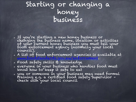#### Starting or changing a honey business

- If you're starting a new honey business or changing the business name, location or activities of your current honey business you must tell your food enforcement agency (normally your local council).
- A list of food enforcement agencies is available at www.foodstandards.gov.au/enforcement.
- Food safety skills & knowledge
- everyone in your business who handles food must know how to keep it safe to eat
- you or someone in your business may need formal training e.g. a certified food safety supervisor – check with your local council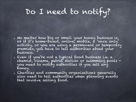# Do I need to notify?

- No matter how big or small your honey business is, or if it's home-based, online, mobile, a 'once only' activity, or you are using a permanent or temporary premises, you have to tell authorities about your business.
- Even if you're not a typical food business i.e. a chemist, cinema, petrol station or swimming pools you need to notify authorities if you sell any honey.
- Charities and community organisations generally also need to tell authorities when planning events that involve selling food.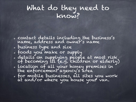#### What do they need to know?

- contact details including the business's name, address and owner's name
- business type and size
- foods you make or supply
- details on supplying people at most risk of becoming ill (e.g. children or elderly)
- location of all your honey premises in the enforcement agency's area
- for mobile businesses, all sites you work at and/or where you house your van.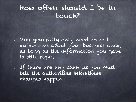#### How often should I be in touch?

You generally only need to tell authorities about your business once, as long as the information you gave is still right.

If there are any changes you must *tell the authorities* before these changes happen.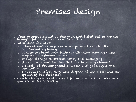### Premises design

- Your premises should be designed and fitted out to handle honey'safely and avoid contamination.
- Make sure you have:
	- a layout and enough space for people to work without contaminating honey
	- convenient hand wash basin/s with warm running water, soap and single-use towels
	- enough storage to protect honey and packaging
	- floors, walls and benches that can be easily cleaned
	- a supply of drinking-quality water and good light and ventilation
	- a system to safely store and dispose of waste (prevent the spread of bee diseases).
- Check with your local council for advice and to make sure you are set up correctly.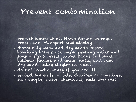## Prevent contamination

- protect honey at all times during storage, processing, transport and display
- thoroughly wash and dry hands before handling honey: use warm running water and soap – scrub wrists, palms, backs of hands, between fingers and under nails, and then dry hands using single-use towels
- do not handle honey if you are ill
- protect honey from pets, children and visitors, sick people, waste, chemicals, pests and dirt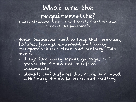# What are the requirements?<br>Under Standard 3.2.2 - Food Safety Practices and

General Requirements

- Honey businesses need to keep their premises, fixtures, fittings, equipment and honey transport vehicles clean and sanitary. This means:
	- things like honey scraps, garbage, dirt, grease etc should not be left to accumulate
	- utensils and surfaces that come in contact with honey should be clean and sanitary.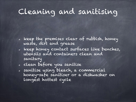## Cleaning and sanitising

- keep the premises clear of rubbish, honey waste, dirt and grease
- keep honey contact surfaces like benches, utensils and containers clean and sanitary
- clean before you sanitise
- sanitise using bleach, a commercial honey-safe sanitiser or a dishwasher on longest hottest cycle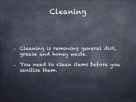

Cleaning is removing general dirt, grease and honey waste.

You need to clean items before you sanitise them.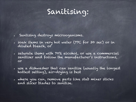### Sanitising:

- Santising destroys microoganisms.  $\circ$
- soak items in very hot water (77C for 30 sec) or in diluted bleach, or
- saturate items with 70% alcohol, or use a commercial sanitiser and follow the manufacturer's instructions, or
- use a dishwasher that can sanitise (usually the longest hottest setting), air-drying is best
- where you can, remove parts like stab mixer sticks and slicer blades to sanitise.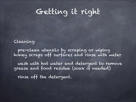## Getting it right

Cleaning:

pre-clean utensils by scraping or wiping honey scraps off surfaces and rinse with water wash with hot water and detergent to remove grease and food residue (soak if needed)

rinse off the detergent.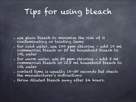# Tips for using bleach

- use plain bleach to minimise the risk of it contaminating or tainting items
- for cold water, use 100 ppm chlorine add 10 ml commercial bleach or 25 ml household bleach to 10L water
- for warm water, use 50 ppm chlorine add 5 ml commercial bleach or 12.5 ml household bleach to 10L water
- contact time is usually 10–30 seconds but check the manufacturer's instructions
- throw diluted bleach away after 24 hours.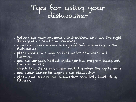#### Tips for using your dishwasher

- follow the manufacturer's instructions and use the right detergent or sanitising chemical
- scrape or rinse excess honey off before placing in the dishwasher
- place items in a way so that water can reach all surfaces
- use the longest, hottest cycle (or the program designed for sanitation)
- check that items are clean and dry when the cycle ends
- use clean hands to unpack the dishwasher
- clean and service the dishwasher regularly (including filters).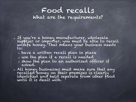#### Food recalls What are the requirements?

- If you're a honey manufacturer, wholesale supplier or importer, you must be able to recall unsafe honey. That means your business needs to:
	- have a written recall plan in place
	- use the plan if a recall is needed
	- show the plan to an authorised officer if asked.
- All honey businesses must make sure that any recalled honey on their premises is clearly identified and held separate from other food until it is dealt with.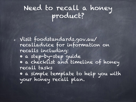### Need to recall a honey product?

Visit foodstandards.gov.au/ recalladvice for information on recalls including: • a step-by-step guide • a checklist and timeline of honey recall tasks • a simple template to help you with your honey recall plan.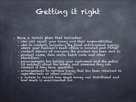## Getting it right

- Have a recall plan that includes:
	- who will recall your honey and their responsibilities
	- who to contact, including the food enforcement agency where your business's head office is located and FSANZ
	- contact details of everyone the product has been sent to
	- product name, date mark, batch code and other identifiers
	- arrangements for telling your customers and the public (if needed) about the honey, and someone they can contact if they have questions
	- arrangements to retrieve honey that has been returned to supermarkets or other outlets
	- a system to record how much honey was distributed and how much is unaccounted for.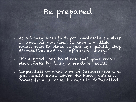# Be prepared

- As a honey manufacturer, wholesale supplier or importer you need to have a written recall plan in place so you can quickly stop distribution and sale of unsafe honey.
- It's a good idea to check that your recall plan works by doing a practice recall.
- Regardless of what type of business you are, you should know where the honey you sell comes from in case it needs to be recalled.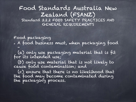#### Food Standards Australia New Zealand (FSANZ) Standard 3.2.2 FOOD SAFETY PRACTICES AND GENERAL REQUIREMENTS

Food packaging

A food business must, when packaging food –

(a) only use packaging material that is fit for its intended use;

(b) only use material that is not likely to cause food contamination; and

(c) ensure that there is no likelihood that the food may become contaminated during the packaging process.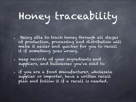# Honey traceability

- Being able to track honey through all stages of production, processing and distribution will make it easier and quicker for you to recall it if something goes wrong.
- keep records of your ingredients and suppliers, and businesses you've sold to
- if you are a food manufacturer, wholesale supplier or importer, have a written recall plan and follow it if a recall is needed.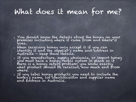### What does it mean for me?

- You should know the details about the honey on your premises including where it came from and where it goes.
- When receiving honey only accept it if you can identify it and the supplier's name and address in Australia - keep these details.
- If you manufacture, supply wholesale, or import honey<br>you must have a honey recall system in place so if there is a honey safety problem, you know exactly what product should be recalled, how much and from where.
- If you label honey products you need to include the honey's name, lot identification and supplier name and address in Australia.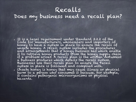#### Recalls

#### Does my business need a recall plan?

- It is a legal requirement under Standard 3.2.2 of the<br>Code for manufacturers, wholesalers and importers of<br>honey to have a system in place to ensure the recall of unsafe honey. A recall system includes the procedures and arrangements that a honey business has which enable it to retrieve honey products ffom the honey supply chain<br>if a problem arises. A recall plan is the written document a business produces which details the recall system. Businesses use their recall plan to ensure the recall system in place is followed and complied with.
- Unsafe honey is honey that may cause illness or physical harm to a person who consumes it because, for example, it contains' pathogenic microorganisms or physical hazards.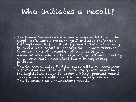#### Who initiates a recall?

- The honey business with primary responsibility for the supply of a honey product (you) initiates the action for implementing a voluntary recall. This action may be taken as a result of reports the business receives from any one of a number of sources (e.g. a manufacturer, wholesaler, retailer, government agency or a consumer) which identifies a honey safety problem.
- The Commonwealth Minister responsible for consumer affairs and the State and Territory governments have the legislative power to order a hóney product recall where a serious public health and safety risk exists. This is known as a mandatory recall.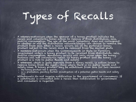# Types of Recalls

- A voluntary recall occurs when the sponsor of a honey product initiates the<br>recall and voluntarily takes action to remove it from distribution, sale,  $\bullet$ and/or consumption. The use of the word 'voluntary' does not correspond to whether or not the distribution network/chains can choose to remove the product from sale. When a recall occurs, all of the particular honey product subject to the recall must be removed from the market place
- A mandatory recall occurs when the Commonwealth or State or Territory<br>government orders a honey product to be recalled from distribution, sale, and/or consumption. Mandatory recalls will only occur when the honey business will not voluntarily recall its honey product and the honey product is a risk to public Kealth and safety.'
- A withdrawal, which is quite separate from a honey recall, is action taken to<br>remove honey from the supply chain where there is no public health and safety issue. A honey product may be withdrawn from sale for two reasons:<br>。the honey product has a quality
	-
	- as a precaution, pending further investigation of a potential public health and safety risk
- Withdrawals do not require notification to the government or consumers. If a withdrawal is converted into a recall then notification to government and consumers is required.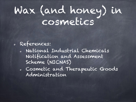# Wax (and honey) in cosmetics

#### References:

- National Industrial Chemicals Notification and Assessment Scheme (NICNAS)
- Cosmetic and Therapeutic Goods Administration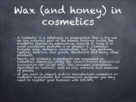# Wax (and honey) in cosmetics

- A 'cosmetic' is a substance or preparation that is for use on any external part of the human body—or inside the mouth—to change its appearance, cleanse it, keep it in good condition, perfume it or protect it. Cosmetics include soap, shampoo, moisturiser, hair dye, perfume, lipstick, mascara, nail polish, deodorant and many other products.
- Nearly all cosmetic ingredients are regulated as industrial chemicals under the *Industrial Chemicals (Notification and Assessment) Act 1989* (ICNA Act). This includes ingredients described as 'natural', such as oils, extracts and essences of plants.
- If you want to import and/or manufacture cosmetics or<br>cosmetic ingredients for commercial purposes you may need to register your business with NICNAS.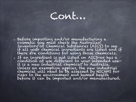# Cont...

Before importing and/or manufacturing a cosmetic you must check the Australian Inventory of Chemical Substances (AICS) to see<br>if all your chemical ingredients are listed and if there are conditions for using those chemicals. If an ingredient is not listed on AICS—or has a condition of use different to your intended use it is a new industrial chemical to Australia. Unless an exemption applies, the new industrial chemical will need to be assessed by NICNAS for risks to the environment and human health before it can be imported and/or manufactured.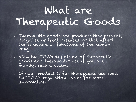# What are Therapeutic Goods

- Therapeutic goods are products that prevent, diagnose or treat diseases, or that affect the structure or functions of the human body.
- View the TGA's definition of therapeutic goods and therapeutic use if you are making such a claim.
- If your product is for therapeutic use read the TGA's regulation basics for more information.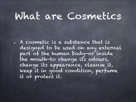# What are Cosmetics

A cosmetic is a substance that is designed to be used on any external part of the human body—or inside the mouth—to change its odours, change its appearance, cleanse it, keep it in good condition, perfume it or protect it.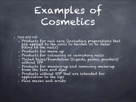# Examples of Cosmetics

- Face and nail
	- Products for nail care (including preparations that are applied to the nails to harden or to deter biting of the nails)
	- Products for make up
	- Products for colouring or varnishing nails
	- Tinted bases/foundation (liquids, pastes, powders) without SPF
	- Products for making-up and removing make-up from the face and eyes
	- Products without SPF that are intended for application to the lips
	- Face masks and scrubs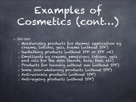# Examples of Cosmetics (cont…)

- Skin care
	- Moisturising products for dermal application eg creams, lotions, gels, foams (without SPF)
	- Sunbathing products (without SPF or SPF <4)
	- Emollients eg creams, emulsions, lotions, gels and oils for the skin (hands, face, feet, etc)
	- Products for tanning without sun (without SPF)
	- Some skin-whitening products (without SPF)
	- Anti-wrinkle products (without SPF)
	- Anti-ageing products (without SPF)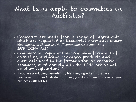#### What laws apply to cosmetics in Australia?

- Cosmetics are made from a range of ingredients, which are regulated as industrial chemicals under the *Industrial Chemicals (Notification and Assessment)* Act *1989* (ICNA Act).
- Commercial importers and/or manufacturers of cosmetics, including packaged products and chemicals used in the formulation of cosmetic products, must comply with the ICNA Act as well as other legislation.
- If you are producing cosmetics by blending ingredients that are purchased from an Australian supplier, you do not need to register your business with NICNAS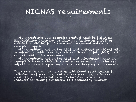#### NICNAS requirements

All ingredients in a cosmetic product must be listed on<br>the Australian Inventory of Chemical Substances (AICS) or<br>notified to NICNAS for pre-market assessment unless an exemption applies.

All ingredients not on the AICS and notified to NICNAS will be subject to public health, work health and safety (WHS), and environmental risk assessment.

All ingredients not on the AICS and introduced under an exemption from notification and some permit categories are subject to annual reporting and record keeping requirements.

The <u>Cosmetics Standard 2007</u> describes additional requirements for<br>anti-dandruff products, oral hygiene products, anti-acne products, anti-bacterial skin products, or skin and nail products containing sunscreen as a secondary function.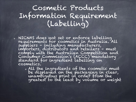#### Cosmetic Products Information Requirement (Labelling)

- NICNAS does not set or enforce labelling requirements for cosmetics in Australia. All suppliers – including manufacturers, importers, distributors and retailers – must comply with the Australian Competition and Consumer Commission's (ACCC) mandatory standard for ingredient labelling on cosmetics.
	- All the ingredients of the cosmetic must be displayed on the packaging in clear, unambiguous print in order from the greatest to the least by volume or weight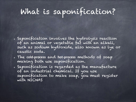# What is saponification?

- Saponification involves the hydrolysis reaction of an animal or vegetable fat with an alkali, such as sodium hydroxide, also known as lye or caustic soda.
- The **cold-process** and **hot-process** methods of soap making both use saponification.
- Saponification is regarded as the manufacture of an industrial chemical. If you use saponification to make soap, you must register with NICNAS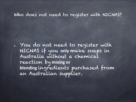#### Who does not need to register with NICNAS?

You do not need to register with NICNAS if you **only** make soaps in Australia without a chemical reaction by mixing or **blending** ingredients purchased from an Australian supplier.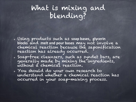#### What is mixing and blending?

- Using products such as soap bases, glycerin **blocks** and **melt and pour bases** may not involve a chemical reaction because the saponification reaction has already occurred.
- Soap-free cleansers, such as syndet bars, are generally made by mixing the ingredients, without a chemical reaction.
- You should do your own research to understand whether a chemical reaction has occurred in your soap-making process.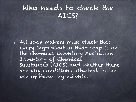#### Who needs to check the AICS?

All soap makers must check that every ingredient in their soap is on the chemical inventory Australian Inventory of Chemical Substances (AICS) and whether there are any conditions attached to the use of those ingredients.